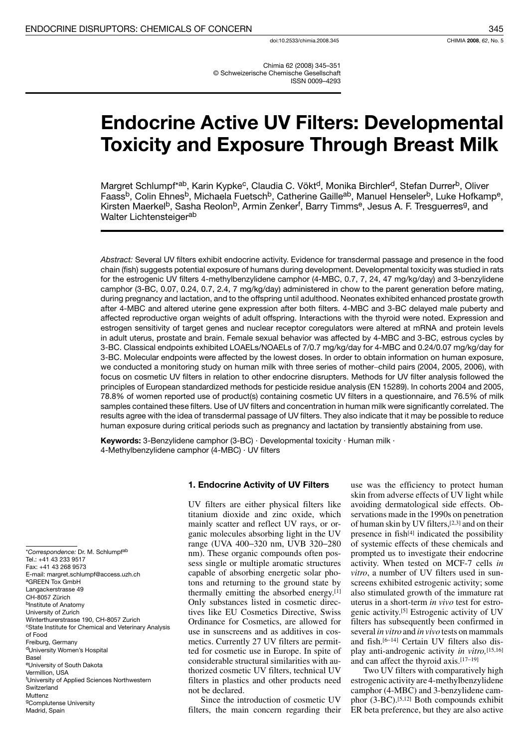Chimia 62 (2008) 345-351 © Schweizerische Chemische Gesellschaft **ISSN 0009-4293** 

# **Endocrine Active UV Filters: Developmental Toxicity and Exposure Through Breast Milk**

Margret Schlumpf\*<sup>ab</sup>, Karin Kypke<sup>c</sup>, Claudia C. Vökt<sup>d</sup>, Monika Birchler<sup>d</sup>, Stefan Durrer<sup>b</sup>, Oliver<br>Faass<sup>b</sup>, Colin Ehnes<sup>b</sup>, Michaela Fuetsch<sup>b</sup>, Catherine Gaille<sup>ab</sup>, Manuel Henseler<sup>b</sup>, Luke Hofkamp<sup>e</sup>, Kirsten Maerkel<sup>b</sup>, Sasha Reolon<sup>b</sup>, Armin Zenker<sup>f</sup>, Barry Timms<sup>e</sup>, Jesus A. F. Tresguerres<sup>g</sup>, and Walter Lichtensteiger<sup>ab</sup>

Abstract: Several UV filters exhibit endocrine activity. Evidence for transdermal passage and presence in the food chain (fish) suggests potential exposure of humans during development. Developmental toxicity was studied in rats for the estrogenic UV filters 4-methylbenzylidene camphor (4-MBC, 0.7, 7, 24, 47 mg/kg/day) and 3-benzylidene camphor (3-BC, 0.07, 0.24, 0.7, 2.4, 7 mg/kg/day) administered in chow to the parent generation before mating, during pregnancy and lactation, and to the offspring until adulthood. Neonates exhibited enhanced prostate growth after 4-MBC and altered uterine gene expression after both filters. 4-MBC and 3-BC delayed male puberty and affected reproductive organ weights of adult offspring. Interactions with the thyroid were noted. Expression and estrogen sensitivity of target genes and nuclear receptor coregulators were altered at mRNA and protein levels in adult uterus, prostate and brain. Female sexual behavior was affected by 4-MBC and 3-BC, estrous cycles by 3-BC. Classical endpoints exhibited LOAELs/NOAELs of 7/0.7 mg/kg/day for 4-MBC and 0.24/0.07 mg/kg/day for 3-BC. Molecular endpoints were affected by the lowest doses. In order to obtain information on human exposure, we conducted a monitoring study on human milk with three series of mother-child pairs (2004, 2005, 2006), with focus on cosmetic UV filters in relation to other endocrine disrupters. Methods for UV filter analysis followed the principles of European standardized methods for pesticide residue analysis (EN 15289). In cohorts 2004 and 2005, 78.8% of women reported use of product(s) containing cosmetic UV filters in a questionnaire, and 76.5% of milk samples contained these filters. Use of UV filters and concentration in human milk were significantly correlated. The results agree with the idea of transdermal passage of UV filters. They also indicate that it may be possible to reduce human exposure during critical periods such as pregnancy and lactation by transiently abstaining from use.

Keywords: 3-Benzylidene camphor (3-BC) · Developmental toxicity · Human milk · 4-Methylbenzylidene camphor (4-MBC) · UV filters

## 1. Endocrine Activity of UV Filters

UV filters are either physical filters like titanium dioxide and zinc oxide, which mainly scatter and reflect UV rays, or organic molecules absorbing light in the UV range (UVA 400-320 nm, UVB 320-280 nm). These organic compounds often possess single or multiple aromatic structures capable of absorbing energetic solar photons and returning to the ground state by thermally emitting the absorbed energy.[1] Only substances listed in cosmetic directives like EU Cosmetics Directive, Swiss Ordinance for Cosmetics, are allowed for use in sunscreens and as additives in cosmetics. Currently 27 UV filters are permitted for cosmetic use in Europe. In spite of considerable structural similarities with authorized cosmetic UV filters, technical UV filters in plastics and other products need not be declared.

Since the introduction of cosmetic UV filters, the main concern regarding their

use was the efficiency to protect human skin from adverse effects of UV light while avoiding dermatological side effects. Observations made in the 1990s on penetration of human skin by UV filters, [2,3] and on their presence in fish<sup>[4]</sup> indicated the possibility of systemic effects of these chemicals and prompted us to investigate their endocrine activity. When tested on MCF-7 cells in vitro, a number of UV filters used in sunscreens exhibited estrogenic activity; some also stimulated growth of the immature rat uterus in a short-term in vivo test for estrogenic activity.<sup>[5]</sup> Estrogenic activity of UV filters has subsequently been confirmed in several *in vitro* and *in vivo* tests on mammals and fish.<sup>[6-14]</sup> Certain UV filters also display anti-androgenic activity in vitro, [15,16] and can affect the thyroid axis.[17-19]

Two UV filters with comparatively high estrogenic activity are 4-methylbenzylidene camphor (4-MBC) and 3-benzylidene camphor (3-BC).<sup>[5,12]</sup> Both compounds exhibit ER beta preference, but they are also active

\*Correspondence: Dr. M. Schlumpf<sup>ab</sup> Tel.: +41 43 233 9517 Fax: +41 43 268 9573 E-mail: margret.schlumpf@access.uzh.ch <sup>a</sup>GREEN Tox GmbH Langackerstrasse 49 CH-8057 Zürich bInstitute of Anatomy University of Zurich Winterthurerstrasse 190, CH-8057 Zurich <sup>c</sup>State Institute for Chemical and Veterinary Analysis of Food Freiburg, Germany <sup>d</sup>University Women's Hospital Basel eUniversity of South Dakota Vermillion, USA <sup>f</sup>University of Applied Sciences Northwestern Switzerland Muttenz <sup>g</sup>Complutense University Madrid, Spain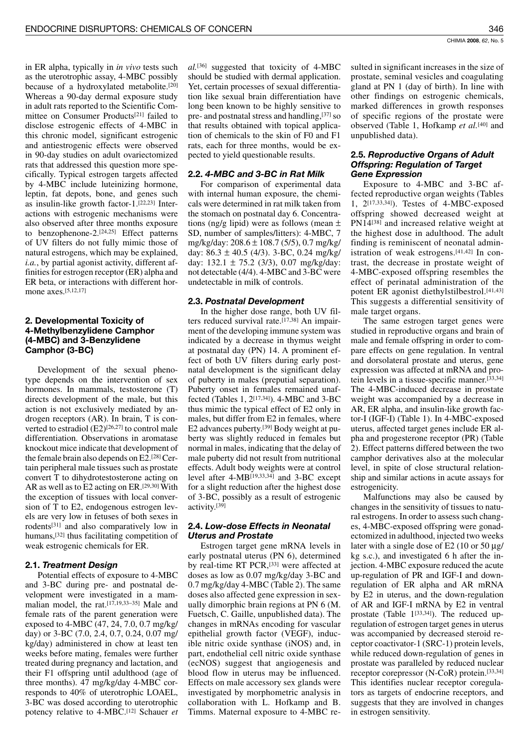in ER alpha, typically in *in vivo* tests such as the uterotrophic assay, 4-MBC possibly because of a hydroxylated metabolite.[20] Whereas a 90-day dermal exposure study in adult rats reported to the Scientific Committee on Consumer Products<sup>[21]</sup> failed to disclose estrogenic effects of 4-MBC in this chronic model, significant estrogenic and antiestrogenic effects were observed in 90-day studies on adult ovariectomized rats that addressed this question more specifically. Typical estrogen targets affected by 4-MBC include luteinizing hormone, leptin, fat depots, bone, and genes such as insulin-like growth factor-1.[22,23] Interactions with estrogenic mechanisms were also observed after three months exposure to benzophenone-2.[24,25] Effect patterns of UV filters do not fully mimic those of natural estrogens, which may be explained, *i.a.*, by partial agonist activity, different affinities for estrogen receptor (ER) alpha and ER beta, or interactions with different hormone axes.[5,12,17]

## 2. Developmental Toxicity of 4-Methylbenzylidene Camphor (4-MBC) and 3-Benzylidene Camphor (3-BC)

Development of the sexual phenotype depends on the intervention of sex hormones. In mammals, testosterone (T) directs development of the male, but this action is not exclusively mediated by androgen receptors (AR). In brain, T is converted to estradiol (E2)<sup>[26,27]</sup> to control male differentiation. Observations in aromatase knockout mice indicate that development of the female brain also depends on  $E2$ . [28] Certain peripheral male tissues such as prostate convert T to dihydrotestosterone acting on AR as well as to E2 acting on ER.  $[29,30]$  With the exception of tissues with local conversion of T to E2, endogenous estrogen levels are very low in fetuses of both sexes in rodents<sup>[31]</sup> and also comparatively low in humans,<sup>[32]</sup> thus facilitating competition of weak estrogenic chemicals for ER.

# 2.1. Treatment Design

Potential effects of exposure to 4-MBC and 3-BC during pre- and postnatal development were investigated in a mammalian model, the rat.[17,19,33-35] Male and female rats of the parent generation were exposed to 4-MBC (47, 24, 7.0, 0.7 mg/kg/ day) or 3-BC  $(7.0, 2.4, 0.7, 0.24, 0.07$  mg/ kg/day) administered in chow at least ten weeks before mating, females were further treated during pregnancy and lactation, and their F1 offspring until adulthood (age of three months). 47 mg/kg/day 4-MBC corresponds to 40% of uterotrophic LOAEL, 3-BC was dosed according to uterotrophic potency relative to 4-MBC.<sup>[12]</sup> Schauer et

 $al$ <sup>[36]</sup> suggested that toxicity of 4-MBC should be studied with dermal application. Yet, certain processes of sexual differentiation like sexual brain differentiation have long been known to be highly sensitive to pre- and postnatal stress and handling, [37] so that results obtained with topical application of chemicals to the skin of F0 and F1 rats, each for three months, would be expected to yield questionable results.

# 2.2. 4-MBC and 3-BC in Rat Milk

For comparison of experimental data with internal human exposure, the chemicals were determined in rat milk taken from the stomach on postnatal day 6. Concentrations (ng/g lipid) were as follows (mean  $\pm$ SD, number of samples/litters): 4-MBC, 7 mg/kg/day:  $208.6 \pm 108.7$  (5/5), 0.7 mg/kg/ day:  $86.3 \pm 40.5$  (4/3). 3-BC, 0.24 mg/kg/ day:  $132.1 \pm 75.2$  (3/3), 0.07 mg/kg/day: not detectable (4/4). 4-MBC and 3-BC were undetectable in milk of controls.

## 2.3. Postnatal Development

In the higher dose range, both UV filters reduced survival rate.[17,38] An impairment of the developing immune system was indicated by a decrease in thymus weight at postnatal day (PN) 14. A prominent effect of both UV filters during early postnatal development is the significant delay of puberty in males (preputial separation). Puberty onset in females remained unaffected (Tables 1, 2<sup>[17,34]</sup>). 4-MBC and 3-BC thus mimic the typical effect of E2 only in males, but differ from E2 in females, where E2 advances puberty.<sup>[39]</sup> Body weight at puberty was slightly reduced in females but normal in males, indicating that the delay of male puberty did not result from nutritional effects. Adult body weights were at control level after 4-MB<sup>[19,33,34]</sup> and 3-BC except for a slight reduction after the highest dose of 3-BC, possibly as a result of estrogenic activity.[39]

## 2.4. Low-dose Effects in Neonatal **Uterus and Prostate**

Estrogen target gene mRNA levels in early postnatal uterus (PN 6), determined by real-time RT PCR,<sup>[33]</sup> were affected at doses as low as 0.07 mg/kg/day 3-BC and 0.7 mg/kg/day 4-MBC (Table 2). The same doses also affected gene expression in sexually dimorphic brain regions at PN 6 (M. Fuetsch, C. Gaille, unpublished data). The changes in mRNAs encoding for vascular epithelial growth factor (VEGF), inducible nitric oxide synthase (iNOS) and, in part, endothelial cell nitric oxide synthase (ecNOS) suggest that angiogenesis and blood flow in uterus may be influenced. Effects on male accessory sex glands were investigated by morphometric analysis in collaboration with L. Hofkamp and B. Timms. Maternal exposure to 4-MBC resulted in significant increases in the size of prostate, seminal vesicles and coagulating gland at PN 1 (day of birth). In line with other findings on estrogenic chemicals, marked differences in growth responses of specific regions of the prostate were observed (Table 1, Hofkamp et al.<sup>[40]</sup> and unpublished data).

## 2.5. Reproductive Organs of Adult **Offspring: Regulation of Target Gene Expression**

Exposure to 4-MBC and 3-BC affected reproductive organ weights (Tables 1,  $2^{[17,33,34]}$ ). Testes of 4-MBC-exposed offspring showed decreased weight at PN14[38] and increased relative weight at the highest dose in adulthood. The adult finding is reminiscent of neonatal administration of weak estrogens. $[41,42]$  In contrast, the decrease in prostate weight of 4-MBC-exposed offspring resembles the effect of perinatal administration of the potent ER agonist diethylstilbestrol.[41,43] This suggests a differential sensitivity of male target organs.

The same estrogen target genes were studied in reproductive organs and brain of male and female offspring in order to compare effects on gene regulation. In ventral and dorsolateral prostate and uterus, gene expression was affected at mRNA and protein levels in a tissue-specific manner.[33,34] The 4-MBC-induced decrease in prostate weight was accompanied by a decrease in AR, ER alpha, and insulin-like growth factor-I (IGF-I) (Table 1). In 4-MBC-exposed uterus, affected target genes include ER alpha and progesterone receptor (PR) (Table 2). Effect patterns differed between the two camphor derivatives also at the molecular level, in spite of close structural relationship and similar actions in acute assays for estrogenicity.

Malfunctions may also be caused by changes in the sensitivity of tissues to natural estrogens. In order to assess such changes, 4-MBC-exposed offspring were gonadectomized in adulthood, injected two weeks later with a single dose of E2 (10 or 50  $\mu$ g/ kg s.c.), and investigated 6 h after the injection. 4-MBC exposure reduced the acute up-regulation of PR and IGF-I and downregulation of ER alpha and AR mRNA by E2 in uterus, and the down-regulation of AR and IGF-I mRNA by E2 in ventral prostate (Table 1[33,34]). The reduced upregulation of estrogen target genes in uterus was accompanied by decreased steroid receptor coactivator-1 (SRC-1) protein levels, while reduced down-regulation of genes in prostate was paralleled by reduced nuclear receptor corepressor (N-CoR) protein.[33,34] This identifies nuclear receptor coregulators as targets of endocrine receptors, and suggests that they are involved in changes in estrogen sensitivity.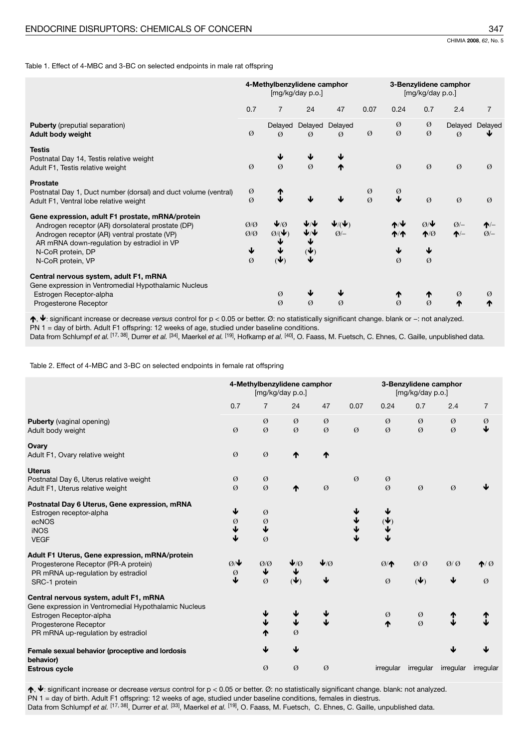Table 1. Effect of 4-MBC and 3-BC on selected endpoints in male rat offspring

|                                                                                                                                                                                                                                               | 4-Methylbenzylidene camphor<br>[mg/kg/day p.o.] |                                                                                 |                                    | 3-Benzylidene camphor<br>[mg/kg/day p.o.]         |                    |                                               |                                                                 |                          |                     |
|-----------------------------------------------------------------------------------------------------------------------------------------------------------------------------------------------------------------------------------------------|-------------------------------------------------|---------------------------------------------------------------------------------|------------------------------------|---------------------------------------------------|--------------------|-----------------------------------------------|-----------------------------------------------------------------|--------------------------|---------------------|
|                                                                                                                                                                                                                                               | 0.7                                             | $\overline{7}$                                                                  | 24                                 | 47                                                | 0.07               | 0.24                                          | 0.7                                                             | 2.4                      | $\overline{7}$      |
| <b>Puberty</b> (preputial separation)<br>Adult body weight                                                                                                                                                                                    | Ø                                               | Delayed<br>$\varnothing$                                                        | Delayed<br>$\varnothing$           | Delayed<br>$\varnothing$                          | Ø                  | Ø<br>Ø                                        | Ø<br>Ø                                                          | Delayed<br>$\varnothing$ | Delayed             |
| <b>Testis</b><br>Postnatal Day 14, Testis relative weight<br>Adult F1, Testis relative weight                                                                                                                                                 | Ø                                               | $\varnothing$                                                                   | $\varnothing$                      | ₼                                                 |                    | Ø                                             | Ø                                                               | Ø                        | $\varnothing$       |
| <b>Prostate</b><br>Postnatal Day 1, Duct number (dorsal) and duct volume (ventral)<br>Adult F1, Ventral lobe relative weight                                                                                                                  | Ø<br>Ø                                          | ፗ                                                                               | J                                  |                                                   | Ø<br>$\varnothing$ | $\frac{\emptyset}{\blacklozenge}$             | Ø                                                               | Ø                        | Ø                   |
| Gene expression, adult F1 prostate, mRNA/protein<br>Androgen receptor (AR) dorsolateral prostate (DP)<br>Androgen receptor (AR) ventral prostate (VP)<br>AR mRNA down-regulation by estradiol in VP<br>N-CoR protein, DP<br>N-CoR protein, VP | Q/Q<br>Q/Q<br>↓<br>Ø                            | $\vee$ $\emptyset$<br>$\varnothing$ / $\blacktriangledown$<br>$(\blacklozenge)$ | ↓∕↓<br>↓<br>$(\blacklozenge)$<br>↓ | $\blacktriangledown(\blacktriangledown)$<br>$Q/-$ |                    | $A/\Psi$<br>$\bigwedge$<br>↓<br>$\varnothing$ | $Ø/$ $\blacktriangleright$<br>$\bigwedge$<br>↓<br>$\varnothing$ | $Q$ /-<br>$\uparrow$     | $\uparrow$<br>$Q/-$ |
| Central nervous system, adult F1, mRNA<br>Gene expression in Ventromedial Hypothalamic Nucleus<br>Estrogen Receptor-alpha<br>Progesterone Receptor                                                                                            |                                                 | Ø<br>$\varnothing$                                                              | ↓<br>Ø                             | $\varnothing$                                     |                    | ተ<br>$\varnothing$                            | ↑<br>$\alpha$                                                   | Ø<br>₼                   | Ø<br>₼              |

 $\uparrow, \downarrow$ : significant increase or decrease versus control for  $p < 0.05$  or better. Ø: no statistically significant change. blank or -: not analyzed. PN 1 = day of birth. Adult F1 offspring: 12 weeks of age, studied under baseline conditions.<br>Data from Schlumpf et al. [17, 38], Durrer et al. [34], Maerkel et al. [19], Hofkamp et al. [40], O. Faass, M. Fuetsch, C. Ehnes

Table 2. Effect of 4-MBC and 3-BC on selected endpoints in female rat offspring

|                                                                                                                                                                                          | 4-Methylbenzylidene camphor<br>[mg/kg/day p.o.] |                  |                           | 3-Benzylidene camphor<br>[mg/kg/day p.o.] |      |                      |                          |           |                  |
|------------------------------------------------------------------------------------------------------------------------------------------------------------------------------------------|-------------------------------------------------|------------------|---------------------------|-------------------------------------------|------|----------------------|--------------------------|-----------|------------------|
|                                                                                                                                                                                          | 0.7                                             | $\overline{7}$   | 24                        | 47                                        | 0.07 | 0.24                 | 0.7                      | 2.4       | $\overline{7}$   |
| <b>Puberty</b> (vaginal opening)<br>Adult body weight                                                                                                                                    | Ø                                               | Ø<br>Ø           | Ø<br>Ø                    | Ø<br>Ø                                    | Ø    | Ø<br>Ø               | Ø<br>Ø                   | Ø<br>Ø    | Ø<br>J           |
| Ovary<br>Adult F1, Ovary relative weight                                                                                                                                                 | Ø                                               | Ø                | ₼                         | ₼                                         |      |                      |                          |           |                  |
| <b>Uterus</b><br>Postnatal Day 6, Uterus relative weight<br>Adult F1, Uterus relative weight                                                                                             | Ø<br>Ø                                          | Ø<br>Ø           | ₼                         | Ø                                         | Ø    | Ø<br>Ø               | Ø                        | Ø         |                  |
| Postnatal Day 6 Uterus, Gene expression, mRNA<br>Estrogen receptor-alpha<br>ecNOS<br><b>iNOS</b><br><b>VEGF</b>                                                                          | ↓<br>Ø<br>↓<br>↓                                | Ø<br>Ø<br>↓<br>Ø |                           |                                           |      | $(\bigstar)$         |                          |           |                  |
| Adult F1 Uterus, Gene expression, mRNA/protein<br>Progesterone Receptor (PR-A protein)<br>PR mRNA up-regulation by estradiol<br>SRC-1 protein                                            | $Q/\psi$<br>Ø<br>J                              | Q/Q<br>↓<br>Ø    | ↓⁄Ø<br>$(\blacklozenge)$  | $\blacklozenge$<br>↓                      |      | Ø/<br>Ø              | Q/Q<br>$(\blacklozenge)$ | Q/Q<br>↓  | $\bigwedge$<br>Ø |
| Central nervous system, adult F1, mRNA<br>Gene expression in Ventromedial Hypothalamic Nucleus<br>Estrogen Receptor-alpha<br>Progesterone Receptor<br>PR mRNA up-regulation by estradiol |                                                 | ↓<br>↓           | ↓<br>$\blacklozenge$<br>Ø | ↓<br>↓                                    |      | Ø<br>$\blacklozenge$ | Ø<br>$\emptyset$         |           |                  |
| Female sexual behavior (proceptive and lordosis<br>behavior)                                                                                                                             |                                                 | ↓                | ↓                         |                                           |      |                      |                          |           |                  |
| <b>Estrous cycle</b>                                                                                                                                                                     |                                                 | Ø                | Ø                         | Ø                                         |      | irregular            | irregular                | irregular | irregular        |

 $\uparrow, \downarrow$ : significant increase or decrease versus control for  $p < 0.05$  or better. Ø: no statistically significant change. blank: not analyzed. PN 1 = day of birth. Adult F1 offspring: 12 weeks of age, studied under baseline conditions, females in diestrus. Data from Schlumpf et al. [17, 38], Durrer et al. [33], Maerkel et al. [19], O. Faass, M. Fuetsch, C. Ehnes, C. Gaille, unpublished data.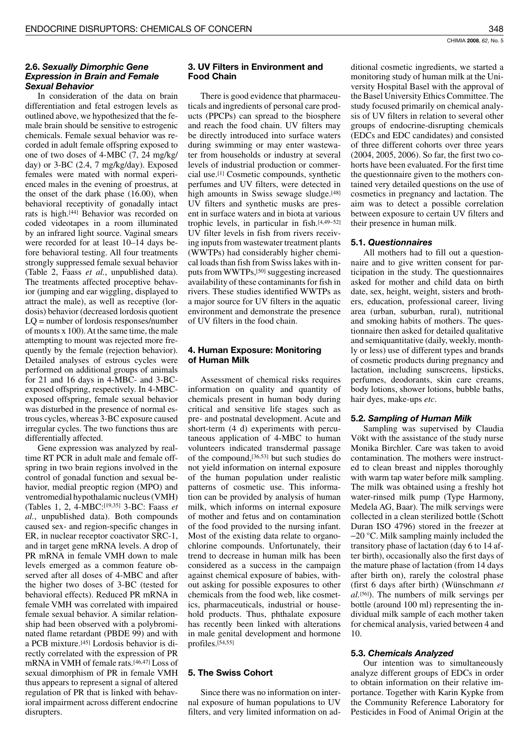## 2.6. Sexually Dimorphic Gene **Expression in Brain and Female Sexual Behavior**

In consideration of the data on brain differentiation and fetal estrogen levels as outlined above, we hypothesized that the female brain should be sensitive to estrogenic chemicals. Female sexual behavior was recorded in adult female offspring exposed to one of two doses of 4-MBC (7, 24 mg/kg/ day) or 3-BC (2.4, 7 mg/kg/day). Exposed females were mated with normal experienced males in the evening of proestrus, at the onset of the dark phase (16.00), when behavioral receptivity of gonadally intact rats is high.<sup>[44]</sup> Behavior was recorded on coded videotapes in a room illuminated by an infrared light source. Vaginal smears were recorded for at least 10-14 days before behavioral testing. All four treatments strongly suppressed female sexual behavior (Table 2, Faass et al., unpublished data). The treatments affected proceptive behavior (jumping and ear wiggling, displayed to attract the male), as well as receptive (lordosis) behavior (decreased lordosis quotient  $LQ$  = number of lordosis responses/number of mounts x 100). At the same time, the male attempting to mount was rejected more frequently by the female (rejection behavior). Detailed analyses of estrous cycles were performed on additional groups of animals for 21 and 16 days in 4-MBC- and 3-BCexposed offspring, respectively. In 4-MBCexposed offspring, female sexual behavior was disturbed in the presence of normal estrous cycles, whereas 3-BC exposure caused irregular cycles. The two functions thus are differentially affected.

Gene expression was analyzed by realtime RT PCR in adult male and female offspring in two brain regions involved in the control of gonadal function and sexual behavior, medial preoptic region (MPO) and ventromedial hypothalamic nucleus (VMH) (Tables 1, 2, 4-MBC:[19,35] 3-BC: Faass et al., unpublished data). Both compounds caused sex- and region-specific changes in ER, in nuclear receptor coactivator SRC-1, and in target gene mRNA levels. A drop of PR mRNA in female VMH down to male levels emerged as a common feature observed after all doses of 4-MBC and after the higher two doses of 3-BC (tested for behavioral effects). Reduced PR mRNA in female VMH was correlated with impaired female sexual behavior. A similar relationship had been observed with a polybrominated flame retardant (PBDE 99) and with a PCB mixture.<sup>[45]</sup> Lordosis behavior is directly correlated with the expression of PR mRNA in VMH of female rats.[46,47] Loss of sexual dimorphism of PR in female VMH thus appears to represent a signal of altered regulation of PR that is linked with behavioral impairment across different endocrine disrupters.

# 3. UV Filters in Environment and **Food Chain**

There is good evidence that pharmaceuticals and ingredients of personal care products (PPCPs) can spread to the biosphere and reach the food chain. UV filters may be directly introduced into surface waters during swimming or may enter wastewater from households or industry at several levels of industrial production or commercial use.<sup>[1]</sup> Cosmetic compounds, synthetic perfumes and UV filters, were detected in high amounts in Swiss sewage sludge.<sup>[48]</sup> UV filters and synthetic musks are present in surface waters and in biota at various trophic levels, in particular in fish.[4,49-52] UV filter levels in fish from rivers receiving inputs from wastewater treatment plants (WWTPs) had considerably higher chemical loads than fish from Swiss lakes with inputs from WWTPs,<sup>[50]</sup> suggesting increased availability of these contaminants for fish in rivers. These studies identified WWTPs as a major source for UV filters in the aquatic environment and demonstrate the presence of UV filters in the food chain.

# 4. Human Exposure: Monitoring of Human Milk

Assessment of chemical risks requires information on quality and quantity of chemicals present in human body during critical and sensitive life stages such as pre- and postnatal development. Acute and short-term (4 d) experiments with percutaneous application of 4-MBC to human volunteers indicated transdermal passage of the compound, [36,53] but such studies do not yield information on internal exposure of the human population under realistic patterns of cosmetic use. This information can be provided by analysis of human milk, which informs on internal exposure of mother and fetus and on contamination of the food provided to the nursing infant. Most of the existing data relate to organochlorine compounds. Unfortunately, their trend to decrease in human milk has been considered as a success in the campaign against chemical exposure of babies, without asking for possible exposures to other chemicals from the food web, like cosmetics, pharmaceuticals, industrial or household products. Thus, phthalate exposure has recently been linked with alterations in male genital development and hormone profiles.<sup>[54,55]</sup>

# 5. The Swiss Cohort

Since there was no information on internal exposure of human populations to UV filters, and very limited information on additional cosmetic ingredients, we started a monitoring study of human milk at the University Hospital Basel with the approval of the Basel University Ethics Committee. The study focused primarily on chemical analysis of UV filters in relation to several other groups of endocrine-disrupting chemicals (EDCs and EDC candidates) and consisted of three different cohorts over three years (2004, 2005, 2006). So far, the first two cohorts have been evaluated. For the first time the questionnaire given to the mothers contained very detailed questions on the use of cosmetics in pregnancy and lactation. The aim was to detect a possible correlation between exposure to certain UV filters and their presence in human milk.

# **5.1. Questionnaires**

All mothers had to fill out a questionnaire and to give written consent for participation in the study. The questionnaires asked for mother and child data on birth date, sex, height, weight, sisters and brothers, education, professional career, living area (urban, suburban, rural), nutritional and smoking habits of mothers. The questionnaire then asked for detailed qualitative and semiquantitative (daily, weekly, monthly or less) use of different types and brands of cosmetic products during pregnancy and lactation, including sunscreens, lipsticks, perfumes, deodorants, skin care creams, body lotions, shower lotions, bubble baths, hair dyes, make-ups etc.

# 5.2. Sampling of Human Milk

Sampling was supervised by Claudia Vökt with the assistance of the study nurse Monika Birchler. Care was taken to avoid contamination. The mothers were instructed to clean breast and nipples thoroughly with warm tap water before milk sampling. The milk was obtained using a freshly hot water-rinsed milk pump (Type Harmony, Medela AG, Baar). The milk servings were collected in a clean sterilized bottle (Schott Duran ISO 4796) stored in the freezer at  $-20$  °C. Milk sampling mainly included the transitory phase of lactation (day 6 to 14 after birth), occasionally also the first days of the mature phase of lactation (from 14 days after birth on), rarely the colostral phase (first 6 days after birth) (Wünschmann et al.<sup>[56]</sup>). The numbers of milk servings per bottle (around 100 ml) representing the individual milk sample of each mother taken for chemical analysis, varied between 4 and 10.

# 5.3. Chemicals Analyzed

Our intention was to simultaneously analyze different groups of EDCs in order to obtain information on their relative importance. Together with Karin Kypke from the Community Reference Laboratory for Pesticides in Food of Animal Origin at the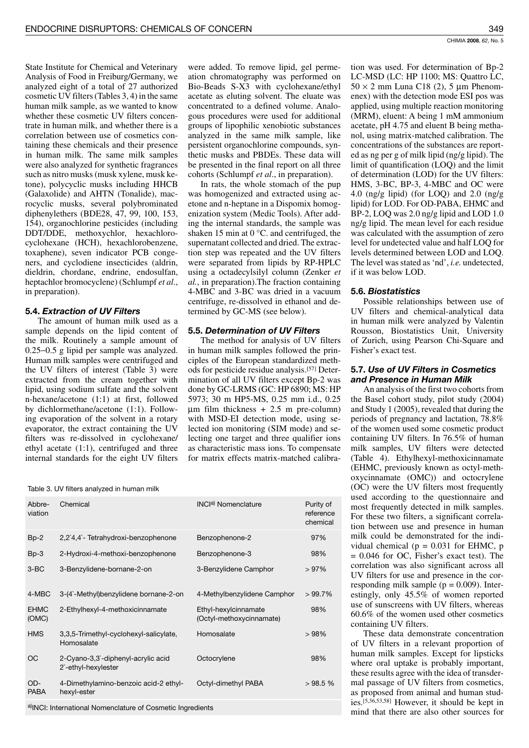State Institute for Chemical and Veterinary Analysis of Food in Freiburg/Germany, we analyzed eight of a total of 27 authorized cosmetic UV filters (Tables 3, 4) in the same human milk sample, as we wanted to know whether these cosmetic UV filters concentrate in human milk, and whether there is a correlation between use of cosmetics containing these chemicals and their presence in human milk. The same milk samples were also analyzed for synthetic fragrances such as nitro musks (musk xylene, musk ketone), polycyclic musks including HHCB (Galaxolide) and AHTN (Tonalide), macrocyclic musks, several polybrominated diphenylethers (BDE28, 47, 99, 100, 153, 154), organochlorine pesticides (including DDT/DDE, methoxychlor, hexachlorocyclohexane (HCH), hexachlorobenzene, toxaphene), seven indicator PCB congeners, and cyclodiene insecticides (aldrin, dieldrin, chordane, endrine, endosulfan, heptachlor bromocyclene) (Schlumpf et al., in preparation).

# 5.4. Extraction of UV Filters

The amount of human milk used as a sample depends on the lipid content of the milk. Routinely a sample amount of  $0.25 - 0.5$  g lipid per sample was analyzed. Human milk samples were centrifuged and the UV filters of interest (Table 3) were extracted from the cream together with lipid, using sodium sulfate and the solvent n-hexane/acetone (1:1) at first, followed by dichlormethane/acetone (1:1). Following evaporation of the solvent in a rotary evaporator, the extract containing the UV filters was re-dissolved in cyclohexane/ ethyl acetate  $(1:1)$ , centrifuged and three internal standards for the eight UV filters

were added. To remove lipid, gel permeation chromatography was performed on Bio-Beads S-X3 with cyclohexane/ethyl acetate as eluting solvent. The eluate was concentrated to a defined volume. Analogous procedures were used for additional groups of lipophilic xenobiotic substances analyzed in the same milk sample, like persistent organochlorine compounds, synthetic musks and PBDEs. These data will be presented in the final report on all three cohorts (Schlumpf et al., in preparation).

In rats, the whole stomach of the pup was homogenized and extracted using acetone and n-heptane in a Dispomix homogenization system (Medic Tools). After adding the internal standards, the sample was shaken 15 min at  $0^{\circ}$ C. and centrifuged, the supernatant collected and dried. The extraction step was repeated and the UV filters were separated from lipids by RP-HPLC using a octadecylsilyl column (Zenker et *al.*, in preparation). The fraction containing 4-MBC and 3-BC was dried in a vacuum centrifuge, re-dissolved in ethanol and determined by GC-MS (see below).

### 5.5. Determination of UV Filters

The method for analysis of UV filters in human milk samples followed the principles of the European standardized methods for pesticide residue analysis.[57] Determination of all UV filters except Bp-2 was done by GC-LRMS (GC: HP 6890; MS: HP 5973; 30 m HP5-MS, 0.25 mm i.d., 0.25  $\mu$ m film thickness + 2.5 m pre-column) with MSD-EI detection mode, using selected ion monitoring (SIM mode) and selecting one target and three qualifier ions as characteristic mass ions. To compensate for matrix effects matrix-matched calibra-

Table 3. UV filters analyzed in human milk

| Abbre-<br>viation    | Chemical                                                              | INCla) Nomenclature                              | Purity of<br>reference<br>chemical |
|----------------------|-----------------------------------------------------------------------|--------------------------------------------------|------------------------------------|
| $Bp-2$               | 2,2`4,4`-Tetrahydroxi-benzophenone                                    | Benzophenone-2                                   | 97%                                |
| $Bp-3$               | 2-Hydroxi-4-methoxi-benzophenone                                      | Benzophenone-3                                   | 98%                                |
| $3-BC$               | 3-Benzylidene-bornane-2-on                                            | 3-Benzylidene Camphor                            | >97%                               |
| 4-MBC                | 3-(4`-Methyl)benzylidene bornane-2-on                                 | 4-Methylbenzylidene Camphor                      | $>99.7\%$                          |
| <b>EHMC</b><br>(OMC) | 2-Ethylhexyl-4-methoxicinnamate                                       | Ethyl-hexylcinnamate<br>(Octyl-methoxycinnamate) | 98%                                |
| <b>HMS</b>           | 3,3,5-Trimethyl-cyclohexyl-salicylate,<br>Homosalate                  | Homosalate                                       | >98%                               |
| <b>OC</b>            | 2-Cyano-3,3`-diphenyl-acrylic acid<br>2 <sup>-</sup> ethyl-hexylester | Octocrylene                                      | 98%                                |
| OD-<br><b>PABA</b>   | 4-Dimethylamino-benzoic acid-2 ethyl-<br>hexyl-ester                  | Octyl-dimethyl PABA                              | >98.5%                             |
|                      |                                                                       |                                                  |                                    |

a) INCI: International Nomenclature of Cosmetic Ingredients

tion was used. For determination of Bp-2 LC-MSD (LC: HP 1100; MS: Quattro LC,  $50 \times 2$  mm Luna C18 (2), 5 µm Phenomenex) with the detection mode ESI pos was applied, using multiple reaction monitoring (MRM), eluent: A being 1 mM ammonium acetate, pH 4.75 and eluent B being methanol, using matrix-matched calibration. The concentrations of the substances are reported as ng per g of milk lipid  $(ng/g \text{ lipid})$ . The limit of quantification (LOQ) and the limit of determination (LOD) for the UV filters: HMS, 3-BC, BP-3, 4-MBC and OC were 4.0 (ng/g lipid) (for LOQ) and  $2.0$  (ng/g lipid) for LOD. For OD-PABA, EHMC and BP-2, LOQ was 2.0 ng/g lipid and LOD 1.0 ng/g lipid. The mean level for each residue was calculated with the assumption of zero level for undetected value and half LOQ for levels determined between LOD and LOQ. The level was stated as 'nd', i.e. undetected, if it was below LOD.

#### 5.6. Biostatistics

Possible relationships between use of UV filters and chemical-analytical data in human milk were analyzed by Valentin Rousson, Biostatistics Unit, University of Zurich, using Pearson Chi-Square and Fisher's exact test.

# 5.7. Use of UV Filters in Cosmetics and Presence in Human Milk

An analysis of the first two cohorts from the Basel cohort study, pilot study (2004) and Study 1 (2005), revealed that during the periods of pregnancy and lactation, 78.8% of the women used some cosmetic product containing UV filters. In 76.5% of human milk samples, UV filters were detected (Table 4). Ethylhexyl-methoxicinnamate (EHMC, previously known as octyl-methoxycinnamate (OMC)) and octocrylene (OC) were the UV filters most frequently used according to the questionnaire and most frequently detected in milk samples. For these two filters, a significant correlation between use and presence in human milk could be demonstrated for the individual chemical ( $p = 0.031$  for EHMC,  $p$  $= 0.046$  for OC, Fisher's exact test). The correlation was also significant across all UV filters for use and presence in the corresponding milk sample ( $p = 0.009$ ). Interestingly, only 45.5% of women reported use of sunscreens with UV filters, whereas 60.6% of the women used other cosmetics containing UV filters.

These data demonstrate concentration of UV filters in a relevant proportion of human milk samples. Except for lipsticks where oral uptake is probably important, these results agree with the idea of transdermal passage of UV filters from cosmetics, as proposed from animal and human studies.<sup>[5,36,53,58]</sup> However, it should be kept in mind that there are also other sources for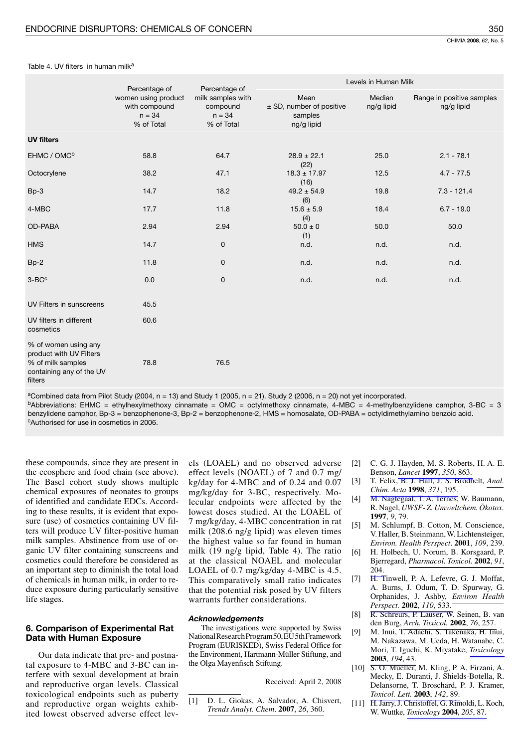350

| Table 4. UV filters in human milk <sup>a</sup> |  |  |  |  |
|------------------------------------------------|--|--|--|--|
|------------------------------------------------|--|--|--|--|

|                                                                                                             | Percentage of                                                  | Percentage of                                           |                                                           | Levels in Human Milk |                                         |
|-------------------------------------------------------------------------------------------------------------|----------------------------------------------------------------|---------------------------------------------------------|-----------------------------------------------------------|----------------------|-----------------------------------------|
|                                                                                                             | women using product<br>with compound<br>$n = 34$<br>% of Total | milk samples with<br>compound<br>$n = 34$<br>% of Total | Mean<br>± SD, number of positive<br>samples<br>ng/g lipid | Median<br>ng/g lipid | Range in positive samples<br>ng/g lipid |
| <b>UV filters</b>                                                                                           |                                                                |                                                         |                                                           |                      |                                         |
| EHMC / OMC <sup>b</sup>                                                                                     | 58.8                                                           | 64.7                                                    | $28.9 \pm 22.1$<br>(22)                                   | 25.0                 | $2.1 - 78.1$                            |
| Octocrylene                                                                                                 | 38.2                                                           | 47.1                                                    | $18.3 \pm 17.97$<br>(16)                                  | 12.5                 | $4.7 - 77.5$                            |
| $Bp-3$                                                                                                      | 14.7                                                           | 18.2                                                    | $49.2 \pm 54.9$<br>(6)                                    | 19.8                 | $7.3 - 121.4$                           |
| 4-MBC                                                                                                       | 17.7                                                           | 11.8                                                    | $15.6 \pm 5.9$<br>(4)                                     | 18.4                 | $6.7 - 19.0$                            |
| OD-PABA                                                                                                     | 2.94                                                           | 2.94                                                    | $50.0 \pm 0$<br>(1)                                       | 50.0                 | 50.0                                    |
| <b>HMS</b>                                                                                                  | 14.7                                                           | 0                                                       | n.d.                                                      | n.d.                 | n.d.                                    |
| $Bp-2$                                                                                                      | 11.8                                                           | 0                                                       | n.d.                                                      | n.d.                 | n.d.                                    |
| $3-BCc$                                                                                                     | 0.0                                                            | 0                                                       | n.d.                                                      | n.d.                 | n.d.                                    |
| UV Filters in sunscreens                                                                                    | 45.5                                                           |                                                         |                                                           |                      |                                         |
| UV filters in different<br>cosmetics                                                                        | 60.6                                                           |                                                         |                                                           |                      |                                         |
| % of women using any<br>product with UV Filters<br>% of milk samples<br>containing any of the UV<br>filters | 78.8                                                           | 76.5                                                    |                                                           |                      |                                         |

<sup>a</sup>Combined data from Pilot Study (2004,  $n = 13$ ) and Study 1 (2005,  $n = 21$ ). Study 2 (2006,  $n = 20$ ) not yet incorporated.  $b$ Abbreviations: EHMC = ethylhexylmethoxy cinnamate = OMC = octylmethoxy cinnamate, 4-MBC = 4-methylbenzylidene camphor, 3-BC = 3 benzylidene camphor, Bp-3 = benzophenone-3, Bp-2 = benzophenone-2, HMS = homosalate, OD-PABA = octyldimethylamino benzoic acid.

CAuthorised for use in cosmetics in 2006

these compounds, since they are present in the ecosphere and food chain (see above). The Basel cohort study shows multiple chemical exposures of neonates to groups of identified and candidate EDCs. According to these results, it is evident that exposure (use) of cosmetics containing UV filters will produce UV filter-positive human milk samples. Abstinence from use of organic UV filter containing sunscreens and cosmetics could therefore be considered as an important step to diminish the total load of chemicals in human milk, in order to reduce exposure during particularly sensitive life stages.

# 6. Comparison of Experimental Rat Data with Human Exposure

Our data indicate that pre- and postnatal exposure to 4-MBC and 3-BC can interfere with sexual development at brain and reproductive organ levels. Classical toxicological endpoints such as puberty and reproductive organ weights exhibited lowest observed adverse effect lev-

els (LOAEL) and no observed adverse effect levels (NOAEL) of 7 and 0.7 mg/ kg/day for 4-MBC and of 0.24 and 0.07 mg/kg/day for 3-BC, respectively. Molecular endpoints were affected by the lowest doses studied. At the LOAEL of 7 mg/kg/day, 4-MBC concentration in rat milk (208.6 ng/g lipid) was eleven times the highest value so far found in human milk (19 ng/g lipid, Table 4). The ratio at the classical NOAEL and molecular LOAEL of 0.7 mg/kg/day 4-MBC is 4.5. This comparatively small ratio indicates that the potential risk posed by UV filters warrants further considerations.

## **Acknowledgements**

The investigations were supported by Swiss National Research Program 50, EU 5th Framework Program (EURISKED), Swiss Federal Office for the Environment, Hartmann-Müller Stiftung, and the Olga Mayenfisch Stiftung.

Received: April 2, 2008

D. L. Giokas, A. Salvador, A. Chisvert,  $[1]$ Trends Analyt. Chem. 2007, 26, 360.

- C. G. J. Hayden, M. S. Roberts, H. A. E.  $\lceil 2 \rceil$ Benson, Lancet 1997, 350, 863.
- $\lceil 3 \rceil$ T. Felix, B. J. Hall, J. S. Brodbelt, Anal. Chim. Acta 1998, 371, 195.
- $[4]$ M. Nagtegaal, T. A. Ternes, W. Baumann, R. Nagel, UWSF-Z. Umweltchem. Ökotox. 1997, 9, 79.
- $\sqrt{51}$ M. Schlumpf, B. Cotton, M. Conscience, V. Haller, B. Steinmann, W. Lichtensteiger, Environ. Health Perspect. 2001, 109, 239.
- H. Holbech, U. Norum, B. Korsgaard, P. Bjerregard, Pharmacol. Toxicol. 2002, 91, 204.
- $[7]$ H. Tinwell, P. A. Lefevre, G. J. Moffat, A. Burns, J. Odum, T. D. Spurway, G. Orphanides, J. Ashby, Environ Health Perspect. 2002, 110, 533.
- R. Schreurs, P. Lauser, W. Seinen, B. van T81. den Burg, Arch. Toxicol. 2002, 76, 257.
- $[9]$ M. Inui, T. Adachi, S. Takenaka, H. Inui, M. Nakazawa, M. Ueda, H. Watanabe, C. Mori, T. Iguchi, K. Miyatake, Toxicology 2003. 194. 43.
- [10] S. O. Mueller, M. Kling, P. A. Firzani, A. Mecky, E. Duranti, J. Shields-Botella, R. Delansorne, T. Broschard, P. J. Kramer, Toxicol. Lett. 2003, 142, 89.
- [11] H. Jarry, J. Christoffel, G. Rimoldi, L. Koch, W. Wuttke, Toxicology 2004, 205, 87.